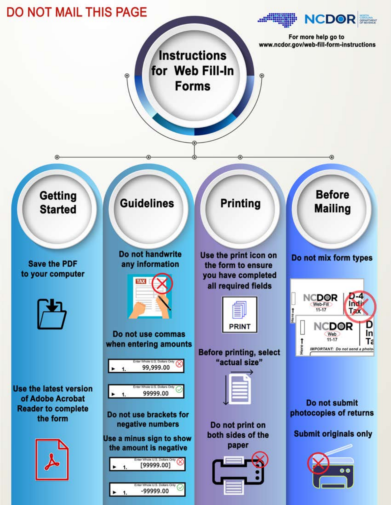